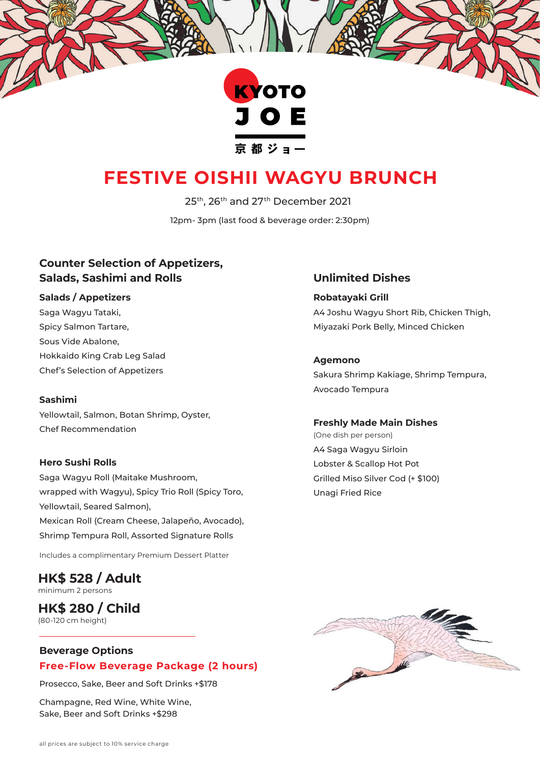

# **FESTIVE OISHII WAGYU BRUNCH**

25th, 26th and 27th December 2021

12pm- 3pm (last food & beverage order: 2:30pm)

# **Counter Selection of Appetizers, Salads, Sashimi and Rolls**

# **Salads / Appetizers**

Saga Wagyu Tataki, Spicy Salmon Tartare, Sous Vide Abalone, Hokkaido King Crab Leg Salad Chef's Selection of Appetizers

#### **Sashimi**

Yellowtail, Salmon, Botan Shrimp, Oyster, Chef Recommendation

#### **Hero Sushi Rolls**

Saga Wagyu Roll (Maitake Mushroom, wrapped with Wagyu), Spicy Trio Roll (Spicy Toro, Yellowtail, Seared Salmon), Mexican Roll (Cream Cheese, Jalapeño, Avocado), Shrimp Tempura Roll, Assorted Signature Rolls

Includes a complimentary Premium Dessert Platter

## **HK\$ 528 / Adult** minimum 2 persons

#### **HK\$ 280 / Child** (80-120 cm height)

# **Beverage Options Free-Flow Beverage Package (2 hours)**

Prosecco, Sake, Beer and Soft Drinks +\$178

Champagne, Red Wine, White Wine, Sake, Beer and Soft Drinks +\$298

# **Unlimited Dishes**

**Robatayaki Grill**  A4 Joshu Wagyu Short Rib, Chicken Thigh, Miyazaki Pork Belly, Minced Chicken

**Agemono**

Sakura Shrimp Kakiage, Shrimp Tempura, Avocado Tempura

#### **Freshly Made Main Dishes**

(One dish per person) A4 Saga Wagyu Sirloin Lobster & Scallop Hot Pot Grilled Miso Silver Cod (+ \$100) Unagi Fried Rice